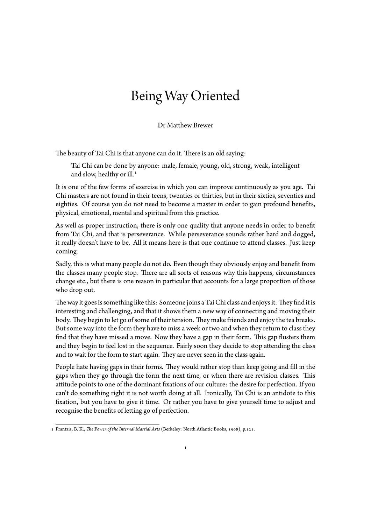## Being Way Oriented

Dr Matthew Brewer

The beauty of Tai Chi is that anyone can do it. There is an old saying:

Tai Chi can be done by anyone: male, female, young, old, strong, weak, intelligent and slow, healthy or ill.<sup>1</sup>

It is one of the few forms of exercise in which you can improve continuously as you age. Tai Chi masters are not found in their teens, twenties or thirties, but in their sixties, seventies and eighties. Of course you do [n](#page-0-0)ot need to become a master in order to gain profound benefits, physical, emotional, mental and spiritual from this practice.

As well as proper instruction, there is only one quality that anyone needs in order to benefit from Tai Chi, and that is perseverance. While perseverance sounds rather hard and dogged, it really doesn't have to be. All it means here is that one continue to attend classes. Just keep coming.

Sadly, this is what many people do not do. Even though they obviously enjoy and benefit from the classes many people stop. There are all sorts of reasons why this happens, circumstances change etc., but there is one reason in particular that accounts for a large proportion of those who drop out.

The way it goes is something like this: Someone joins a Tai Chi class and enjoys it. They find it is interesting and challenging, and that it shows them a new way of connecting and moving their body. They begin to let go of some of their tension. They make friends and enjoy the tea breaks. But some way into the form they have to miss a week or two and when they return to class they find that they have missed a move. Now they have a gap in their form. This gap flusters them and they begin to feel lost in the sequence. Fairly soon they decide to stop attending the class and to wait for the form to start again. They are never seen in the class again.

People hate having gaps in their forms. They would rather stop than keep going and fill in the gaps when they go through the form the next time, or when there are revision classes. This attitude points to one of the dominant fixations of our culture: the desire for perfection. If you can't do something right it is not worth doing at all. Ironically, Tai Chi is an antidote to this fixation, but you have to give it time. Or rather you have to give yourself time to adjust and recognise the benefits of letting go of perfection.

<span id="page-0-0"></span><sup>1</sup> Frantzis, B. K., *The Power of the Internal Martial Arts* (Berkeley: North Atlantic Books, 1998), p.121.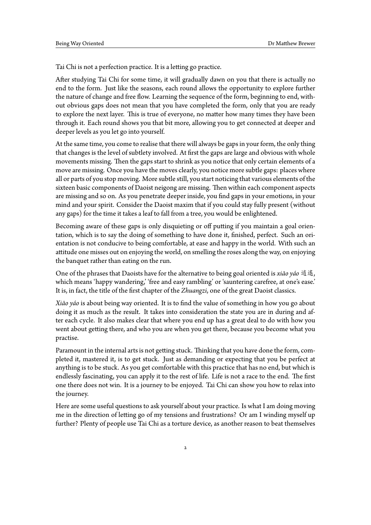Tai Chi is not a perfection practice. It is a letting go practice.

After studying Tai Chi for some time, it will gradually dawn on you that there is actually no end to the form. Just like the seasons, each round allows the opportunity to explore further the nature of change and free flow. Learning the sequence of the form, beginning to end, without obvious gaps does not mean that you have completed the form, only that you are ready to explore the next layer. This is true of everyone, no matter how many times they have been through it. Each round shows you that bit more, allowing you to get connected at deeper and deeper levels as you let go into yourself.

At the same time, you come to realise that there will always be gaps in your form, the only thing that changes is the level of subtlety involved. At first the gaps are large and obvious with whole movements missing. Then the gaps start to shrink as you notice that only certain elements of a move are missing. Once you have the moves clearly, you notice more subtle gaps: places where all or parts of you stop moving. More subtle still, you start noticing that various elements of the sixteen basic components of Daoist neigong are missing. Then within each component aspects are missing and so on. As you penetrate deeper inside, you find gaps in your emotions, in your mind and your spirit. Consider the Daoist maxim that if you could stay fully present (without any gaps) for the time it takes a leaf to fall from a tree, you would be enlightened.

Becoming aware of these gaps is only disquieting or off putting if you maintain a goal orientation, which is to say the doing of something to have done it, finished, perfect. Such an orientation is not conducive to being comfortable, at ease and happy in the world. With such an attitude one misses out on enjoying the world, on smelling the roses along the way, on enjoying the banquet rather than eating on the run.

One of the phrases that Daoists have for the alternative to being goal oriented is *xiāo yáo* 逍遙, which means 'happy wandering,' 'free and easy rambling' or 'sauntering carefree, at one's ease.' It is, in fact, the title of the first chapter of the *Zhuangzi*, one of the great Daoist classics.

*Xiāo yáo* is about being way oriented. It is to find the value of something in how you go about doing it as much as the result. It takes into consideration the state you are in during and after each cycle. It also makes clear that where you end up has a great deal to do with how you went about getting there, and who you are when you get there, because you become what you practise.

Paramount in the internal arts is not getting stuck. Thinking that you have done the form, completed it, mastered it, is to get stuck. Just as demanding or expecting that you be perfect at anything is to be stuck. As you get comfortable with this practice that has no end, but which is endlessly fascinating, you can apply it to the rest of life. Life is not a race to the end. The first one there does not win. It is a journey to be enjoyed. Tai Chi can show you how to relax into the journey.

Here are some useful questions to ask yourself about your practice. Is what I am doing moving me in the direction of letting go of my tensions and frustrations? Or am I winding myself up further? Plenty of people use Tai Chi as a torture device, as another reason to beat themselves